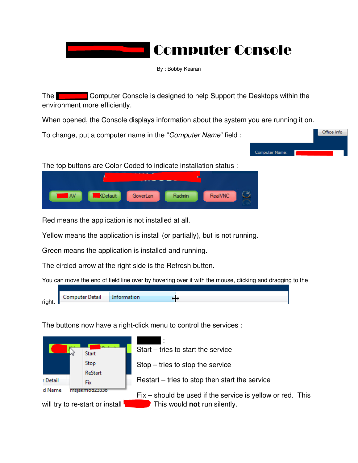# **Computer Console**

By : Bobby Kearan

The Trustmark Computer Console is designed to help Support the Desktops within the environment more efficiently.

When opened, the Console displays information about the system you are running it on.

To change, put a computer name in the "Computer Name" field :



The top buttons are Color Coded to indicate installation status :



Red means the application is not installed at all.

Yellow means the application is install (or partially), but is not running.

Green means the application is installed and running.

The circled arrow at the right side is the Refresh button.

You can move the end of field line over by hovering over it with the mouse, clicking and dragging to the



The buttons now have a right-click menu to control the services :

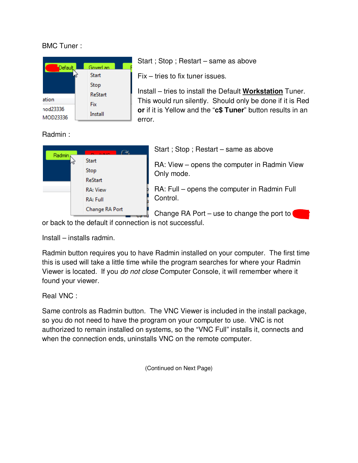### BMC Tuner :



Start ; Stop ; Restart – same as above

Fix – tries to fix tuner issues.

Install – tries to install the Default **Workstation** Tuner. This would run silently. Should only be done if it is Red **or** if it is Yellow and the "**c\$ Tuner**" button results in an error.

## Radmin :



Start ; Stop ; Restart – same as above

RA: View – opens the computer in Radmin View Only mode.

RA: Full – opens the computer in Radmin Full Control.

Change RA Port – use to change the port to

or back to the default if connection is not successful.

Install – installs radmin.

Radmin button requires you to have Radmin installed on your computer. The first time this is used will take a little time while the program searches for where your Radmin Viewer is located. If you do not close Computer Console, it will remember where it found your viewer.

#### Real VNC :

Same controls as Radmin button. The VNC Viewer is included in the install package, so you do not need to have the program on your computer to use. VNC is not authorized to remain installed on systems, so the "VNC Full" installs it, connects and when the connection ends, uninstalls VNC on the remote computer.

(Continued on Next Page)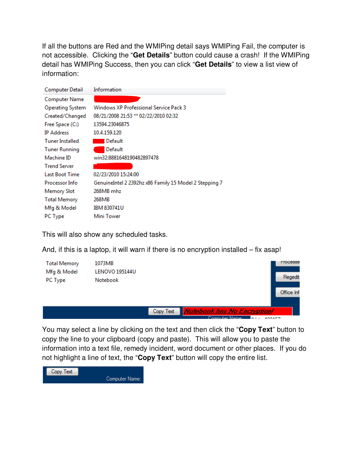If all the buttons are Red and the WMIPing detail says WMIPing Fail, the computer is not accessible. Clicking the "**Get Details**" button could cause a crash! If the WMIPing detail has WMIPing Success, then you can click "**Get Details**" to view a list view of information:

| Computer Detail        | Information                                            |
|------------------------|--------------------------------------------------------|
| <b>Computer Name</b>   |                                                        |
| Operating System       | Windows XP Professional Service Pack 3                 |
| Created/Changed        | 08/21/2008 21:53 ** 02/22/2010 02:32                   |
| Free Space (C:)        | 13594.23046875                                         |
| <b>IP Address</b>      | 10.4.159.120                                           |
| <b>Tuner Installed</b> | l Default                                              |
| <b>Tuner Running</b>   | Default                                                |
| Machine ID             | win32:8881648190482897478                              |
| <b>Trend Server</b>    |                                                        |
| <b>Last Boot Time</b>  | 02/23/2010 15:24:00                                    |
| <b>Processor Info</b>  | GenuineIntel 2 2392hz x86 Family 15 Model 2 Stepping 7 |
| <b>Memory Slot</b>     | 268MB mhz                                              |
| <b>Total Memory</b>    | 268MB                                                  |
| Mfg & Model            | <b>IBM 830741U</b>                                     |
| PC Type                | Mini Tower                                             |

This will also show any scheduled tasks.

And, if this is a laptop, it will warn if there is no encryption installed – fix asap!

| <b>Total Memory</b> | 1073MB                |           |                                | <b>Frocesse</b> |
|---------------------|-----------------------|-----------|--------------------------------|-----------------|
| Mfg & Model         | <b>LENOVO 195144U</b> |           |                                |                 |
| PC Type             | Notebook              |           |                                | Regedit         |
|                     |                       |           |                                | Office Inf      |
|                     |                       |           |                                |                 |
|                     |                       | Copy Text | Notebook has No Encryption!    |                 |
|                     |                       |           | Computer Name:<br>$n_{\rm{B}}$ | 1173457         |

You may select a line by clicking on the text and then click the "**Copy Text**" button to copy the line to your clipboard (copy and paste). This will allow you to paste the information into a text file, remedy incident, word document or other places. If you do not highlight a line of text, the "**Copy Text**" button will copy the entire list.

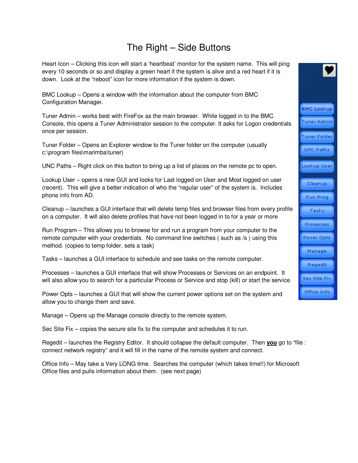# The Right – Side Buttons

Heart Icon – Clicking this icon will start a 'heartbeat' monitor for the system name. This will ping every 10 seconds or so and display a green heart if the system is alive and a red heart if it is down. Look at the "reboot" icon for more information if the system is down.

BMC Lookup – Opens a window with the information about the computer from BMC Configuration Manager.

Tuner Admin – works best with FireFox as the main browser. While logged in to the BMC Console, this opens a Tuner Administrator session to the computer. It asks for Logon credentials once per session.

Tuner Folder – Opens an Explorer window to the Tuner folder on the computer (usually c:\program files\marimba\tuner)

UNC Paths – Right click on this button to bring up a list of places on the remote pc to open.

Lookup User – opens a new GUI and looks for Last logged on User and Most logged on user (recent). This will give a better indication of who the "regular user" of the system is. Includes phone info from AD.

Cleanup – launches a GUI interface that will delete temp files and browser files from every profile on a computer. It will also delete profiles that have not been logged in to for a year or more

Run Program – This allows you to browse for and run a program from your computer to the remote computer with your credentials. No command line switches ( such as /s ) using this method. (copies to temp folder, sets a task)

Tasks – launches a GUI interface to schedule and see tasks on the remote computer.

Processes – launches a GUI interface that will show Processes or Services on an endpoint. It will also allow you to search for a particular Process or Service and stop (kill) or start the service.

Power Opts – launches a GUI that will show the current power options set on the system and allow you to change them and save.

Manage – Opens up the Manage console directly to the remote system.

Sec Site Fix – copies the secure site fix to the computer and schedules it to run.

Regedit – launches the Registry Editor. It should collapse the default computer. Then **you** go to "file : connect network registry" and it will fill in the name of the remote system and connect.

Office Info – May take a Very LONG time. Searches the computer (which takes time!!) for Microsoft Office files and pulls information about them. (see next page)

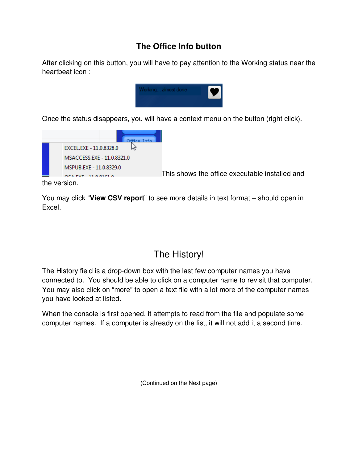## **The Office Info button**

After clicking on this button, you will have to pay attention to the Working status near the heartbeat icon :



Once the status disappears, you will have a context menu on the button (right click).



This shows the office executable installed and

the version.

You may click "**View CSV report**" to see more details in text format – should open in Excel.

# The History!

The History field is a drop-down box with the last few computer names you have connected to. You should be able to click on a computer name to revisit that computer. You may also click on "more" to open a text file with a lot more of the computer names you have looked at listed.

When the console is first opened, it attempts to read from the file and populate some computer names. If a computer is already on the list, it will not add it a second time.

(Continued on the Next page)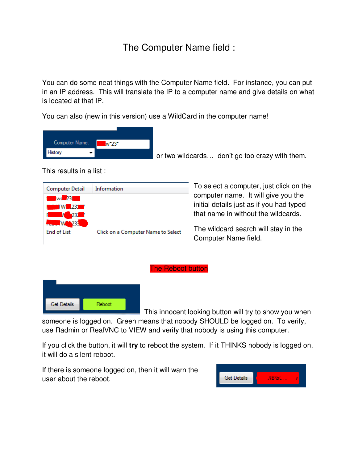# The Computer Name field :

You can do some neat things with the Computer Name field. For instance, you can put in an IP address. This will translate the IP to a computer name and give details on what is located at that IP.

You can also (new in this version) use a WildCard in the computer name!



or two wildcards… don't go too crazy with them.

This results in a list :



To select a computer, just click on the computer name. It will give you the initial details just as if you had typed that name in without the wildcards.

The wildcard search will stay in the Computer Name field.



This innocent looking button will try to show you when

someone is logged on. Green means that nobody SHOULD be logged on. To verify, use Radmin or RealVNC to VIEW and verify that nobody is using this computer.

The Reboot button

If you click the button, it will **try** to reboot the system. If it THINKS nobody is logged on, it will do a silent reboot.

If there is someone logged on, then it will warn the user about the reboot.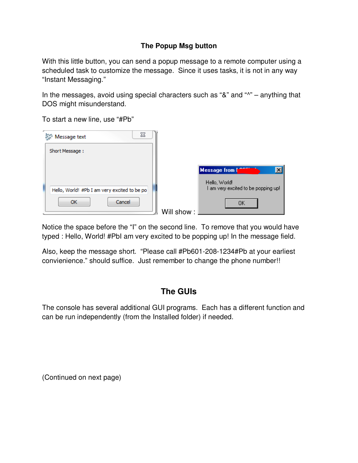## **The Popup Msg button**

With this little button, you can send a popup message to a remote computer using a scheduled task to customize the message. Since it uses tasks, it is not in any way "Instant Messaging."

In the messages, avoid using special characters such as "&" and "^" – anything that DOS might misunderstand.

To start a new line, use "#Pb"

| 23<br>Message text                           |                                                      |
|----------------------------------------------|------------------------------------------------------|
| Short Message:                               |                                                      |
|                                              | <b>Message from I</b>                                |
| Hello, World! #Pb I am very excited to be po | Hello, World!<br>I am very excited to be popping up! |
| Cancel<br>ОК                                 | OΚ<br>Will show:                                     |

Notice the space before the "I" on the second line. To remove that you would have typed : Hello, World! #PbI am very excited to be popping up! In the message field.

Also, keep the message short. "Please call #Pb601-208-1234#Pb at your earliest convienience." should suffice. Just remember to change the phone number!!

## **The GUIs**

The console has several additional GUI programs. Each has a different function and can be run independently (from the Installed folder) if needed.

(Continued on next page)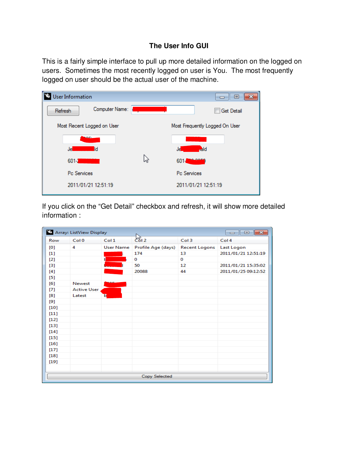### **The User Info GUI**

This is a fairly simple interface to pull up more detailed information on the logged on users. Sometimes the most recently logged on user is You. The most frequently logged on user should be the actual user of the machine.

| <b>User Information</b>    |                |   |                                | ▣<br>--           |
|----------------------------|----------------|---|--------------------------------|-------------------|
| Refresh                    | Computer Name: |   |                                | <b>Get Detail</b> |
| Most Recent Logged on User |                |   | Most Frequently Logged On User |                   |
| <b>STATISTICS</b>          |                |   |                                |                   |
| Je                         | ld             |   | dd<br>Je l                     |                   |
| $601-1$                    |                | ピ | <b>BALANTA</b><br>$601 -$      |                   |
| Pc Services                |                |   | Pc Services                    |                   |
| 2011/01/21 12:51:19        |                |   | 2011/01/21 12:51:19            |                   |

If you click on the "Get Detail" checkbox and refresh, it will show more detailed information :

| <sup>2</sup> Array: ListView Display |                    |                  |                    |                      |                     |
|--------------------------------------|--------------------|------------------|--------------------|----------------------|---------------------|
| Row                                  | Col 0              | Col <sub>1</sub> | $\frac{1}{2}$      | Col <sub>3</sub>     | Col 4               |
| [0]                                  | 4                  | <b>User Name</b> | Profile Age (days) | <b>Recent Logons</b> | Last Logon          |
| $[1]$                                |                    |                  | 174                | 13                   | 2011/01/21 12:51:19 |
| $[2]$                                |                    |                  | 0                  | 0                    |                     |
| $[3]$                                |                    |                  | 50                 | 12                   | 2011/01/21 15:35:02 |
| [4]                                  |                    |                  | 20088              | 44                   | 2011/01/25 09:12:52 |
| $[5]$                                |                    |                  |                    |                      |                     |
| [6]                                  | Newest             |                  |                    |                      |                     |
| $[7]$                                | <b>Active User</b> |                  |                    |                      |                     |
| [8]                                  | Latest             | ъ                |                    |                      |                     |
| [9]                                  |                    |                  |                    |                      |                     |
| [10]                                 |                    |                  |                    |                      |                     |
| [11]                                 |                    |                  |                    |                      |                     |
| [12]                                 |                    |                  |                    |                      |                     |
| [13]                                 |                    |                  |                    |                      |                     |
| [14]                                 |                    |                  |                    |                      |                     |
| [15]                                 |                    |                  |                    |                      |                     |
| [16]                                 |                    |                  |                    |                      |                     |
| [17]                                 |                    |                  |                    |                      |                     |
| [18]                                 |                    |                  |                    |                      |                     |
| [19]                                 |                    |                  |                    |                      |                     |
|                                      |                    |                  |                    |                      |                     |
|                                      | Copy Selected      |                  |                    |                      |                     |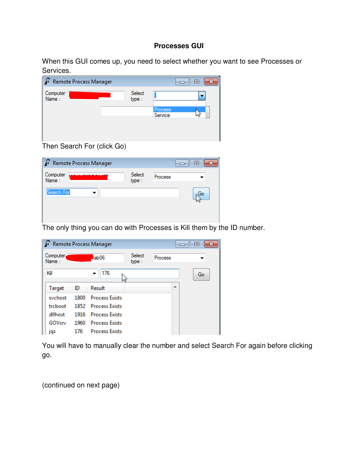#### **Processes GUI**

When this GUI comes up, you need to select whether you want to see Processes or Services.

| Remote Process Manager |                 |                    | $\blacksquare$ |
|------------------------|-----------------|--------------------|----------------|
| Computer<br>Name:      | Select<br>type: |                    |                |
|                        |                 | Process<br>Service |                |

Then Search For (click Go)

| <b>P</b> Remote Process Manager |                 |         | $\blacksquare$ |
|---------------------------------|-----------------|---------|----------------|
| Computer<br>Name :              | Select<br>type: | Process |                |
| Search For                      |                 |         | Go             |

The only thing you can do with Processes is Kill them by the ID number.

| ြင |                   |      | Remote Process Manager |                 |         | $\blacksquare$ |
|----|-------------------|------|------------------------|-----------------|---------|----------------|
|    | Computer<br>Name: |      | lab06                  | Select<br>type: | Process |                |
|    | Kill              |      | 176<br>▼<br>hi         |                 |         | Go             |
|    | <b>Target</b>     | ID   | Result                 |                 | A       |                |
|    | svchost           | 1800 | <b>Process Exists</b>  |                 |         |                |
|    | trcboot           |      | 1852 Process Exists    |                 |         |                |
|    | dllhost           | 1916 | <b>Process Exists</b>  |                 |         |                |
|    | GOVsrv            | 1960 | <b>Process Exists</b>  |                 |         |                |
|    | jqs               | 176  | <b>Process Exists</b>  |                 |         |                |

You will have to manually clear the number and select Search For again before clicking go.

(continued on next page)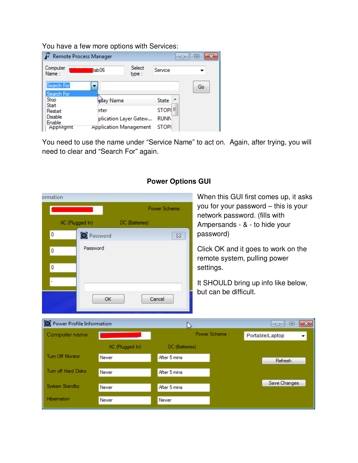You have a few more options with Services:

| Remote Process Manager                                  |                                        |                       |                                                   | $=$ |
|---------------------------------------------------------|----------------------------------------|-----------------------|---------------------------------------------------|-----|
| Computer<br>Name:                                       | llab06                                 | Select<br>type:       | Service                                           |     |
| Search For<br>Search For<br>Stop                        | ٠<br><b>Axi</b> ay Name                |                       | <b>State</b>                                      | Go  |
| Start<br>Restart<br><b>Disable</b><br>Enable<br>AppMgmt | erter<br><b>Application Management</b> | plication Layer Gatew | STOPI <sup>E</sup><br><b>RUNN</b><br><b>STOPI</b> |     |

You need to use the name under "Service Name" to act on. Again, after trying, you will need to clear and "Search For" again.

| ormation                  |                       |                                      | When this GUI first comes up, it asks                                            |
|---------------------------|-----------------------|--------------------------------------|----------------------------------------------------------------------------------|
|                           | Power Scheme:         | you for your password – this is your |                                                                                  |
| AC (Plugged In)           | DC (Batteries)        |                                      | network password. (fills with<br>Ampersands - & - to hide your                   |
| 0                         | <sup>O</sup> Password | $\Sigma$                             | password)                                                                        |
| Password<br>0<br>0        |                       |                                      | Click OK and it goes to work on the<br>remote system, pulling power<br>settings. |
|                           | OK                    | Cancel                               | It SHOULD bring up info like below,<br>but can be difficult.                     |
| Power Profile Information |                       | Á                                    | -23<br><del>o   0</del>                                                          |
| Computer name:            |                       |                                      | Power Scheme:<br>Portable/Laptop<br>▾                                            |
|                           | AC (Plugged In)       | DC (Batteries)                       |                                                                                  |
| Tum Off Monitor           | Never                 | After 5 mins                         | Refresh                                                                          |
| Tum off Hard Disks        | Never                 | After 5 mins                         |                                                                                  |
| System Standby            | Never                 | After 5 mins                         | Save Changes                                                                     |
| Hibemation                | Never                 | Never                                |                                                                                  |

## **Power Options GUI**